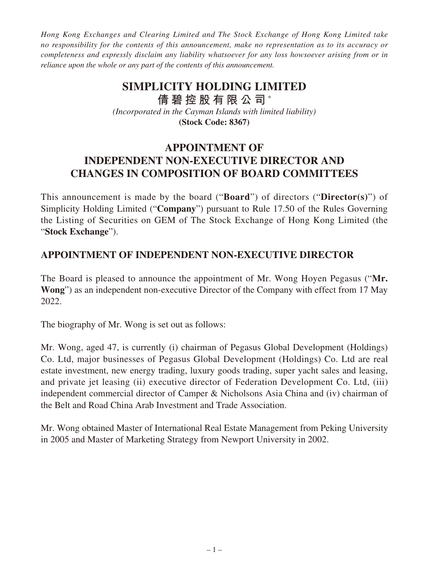*Hong Kong Exchanges and Clearing Limited and The Stock Exchange of Hong Kong Limited take no responsibility for the contents of this announcement, make no representation as to its accuracy or completeness and expressly disclaim any liability whatsoever for any loss howsoever arising from or in reliance upon the whole or any part of the contents of this announcement.*

## **SIMPLICITY HOLDING LIMITED 倩碧控股有限公司** \* *(Incorporated in the Cayman Islands with limited liability)*

**(Stock Code: 8367)**

## **APPOINTMENT OF INDEPENDENT NON-EXECUTIVE DIRECTOR AND CHANGES IN COMPOSITION OF BOARD COMMITTEES**

This announcement is made by the board ("**Board**") of directors ("**Director(s)**") of Simplicity Holding Limited ("**Company**") pursuant to Rule 17.50 of the Rules Governing the Listing of Securities on GEM of The Stock Exchange of Hong Kong Limited (the "**Stock Exchange**").

## **APPOINTMENT OF INDEPENDENT NON-EXECUTIVE DIRECTOR**

The Board is pleased to announce the appointment of Mr. Wong Hoyen Pegasus ("**Mr. Wong**") as an independent non-executive Director of the Company with effect from 17 May 2022.

The biography of Mr. Wong is set out as follows:

Mr. Wong, aged 47, is currently (i) chairman of Pegasus Global Development (Holdings) Co. Ltd, major businesses of Pegasus Global Development (Holdings) Co. Ltd are real estate investment, new energy trading, luxury goods trading, super yacht sales and leasing, and private jet leasing (ii) executive director of Federation Development Co. Ltd, (iii) independent commercial director of Camper & Nicholsons Asia China and (iv) chairman of the Belt and Road China Arab Investment and Trade Association.

Mr. Wong obtained Master of International Real Estate Management from Peking University in 2005 and Master of Marketing Strategy from Newport University in 2002.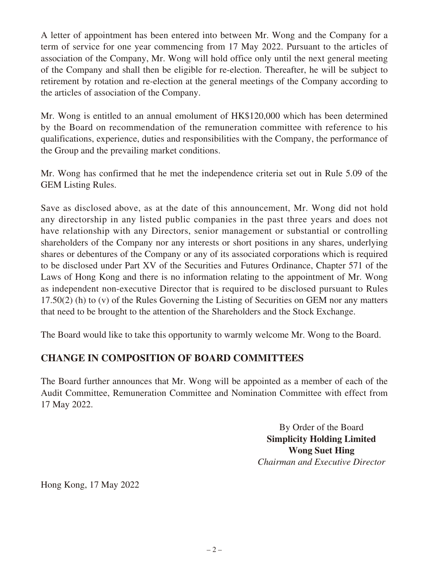A letter of appointment has been entered into between Mr. Wong and the Company for a term of service for one year commencing from 17 May 2022. Pursuant to the articles of association of the Company, Mr. Wong will hold office only until the next general meeting of the Company and shall then be eligible for re-election. Thereafter, he will be subject to retirement by rotation and re-election at the general meetings of the Company according to the articles of association of the Company.

Mr. Wong is entitled to an annual emolument of HK\$120,000 which has been determined by the Board on recommendation of the remuneration committee with reference to his qualifications, experience, duties and responsibilities with the Company, the performance of the Group and the prevailing market conditions.

Mr. Wong has confirmed that he met the independence criteria set out in Rule 5.09 of the GEM Listing Rules.

Save as disclosed above, as at the date of this announcement, Mr. Wong did not hold any directorship in any listed public companies in the past three years and does not have relationship with any Directors, senior management or substantial or controlling shareholders of the Company nor any interests or short positions in any shares, underlying shares or debentures of the Company or any of its associated corporations which is required to be disclosed under Part XV of the Securities and Futures Ordinance, Chapter 571 of the Laws of Hong Kong and there is no information relating to the appointment of Mr. Wong as independent non-executive Director that is required to be disclosed pursuant to Rules 17.50(2) (h) to (v) of the Rules Governing the Listing of Securities on GEM nor any matters that need to be brought to the attention of the Shareholders and the Stock Exchange.

The Board would like to take this opportunity to warmly welcome Mr. Wong to the Board.

## **CHANGE IN COMPOSITION OF BOARD COMMITTEES**

The Board further announces that Mr. Wong will be appointed as a member of each of the Audit Committee, Remuneration Committee and Nomination Committee with effect from 17 May 2022.

> By Order of the Board **Simplicity Holding Limited Wong Suet Hing** *Chairman and Executive Director*

Hong Kong, 17 May 2022